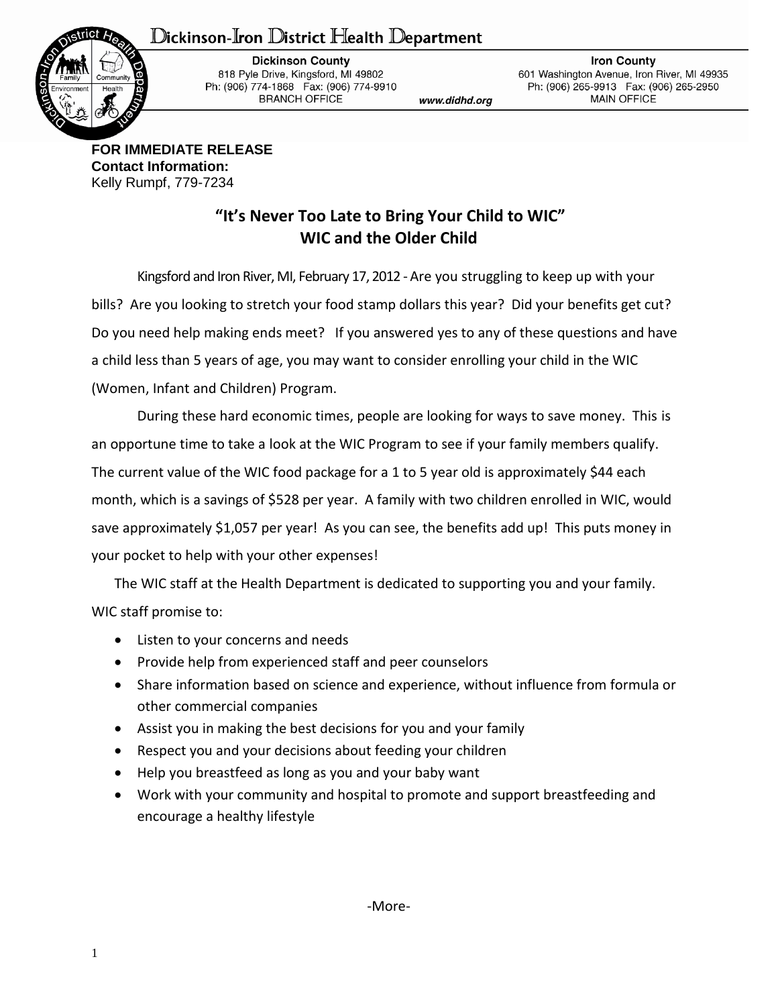## Dickinson-Iron District Health Department



**Dickinson County** 818 Pyle Drive, Kingsford, MI 49802 Ph: (906) 774-1868 Fax: (906) 774-9910 **BRANCH OFFICE** 

www.didhd.org

**Iron County** 601 Washington Avenue, Iron River, MI 49935 Ph: (906) 265-9913 Fax: (906) 265-2950 **MAIN OFFICE** 

**FOR IMMEDIATE RELEASE Contact Information:** Kelly Rumpf, 779-7234

## **"It's Never Too Late to Bring Your Child to WIC" WIC and the Older Child**

Kingsford and Iron River, MI, February 17, 2012 - Are you struggling to keep up with your bills? Are you looking to stretch your food stamp dollars this year? Did your benefits get cut? Do you need help making ends meet? If you answered yes to any of these questions and have a child less than 5 years of age, you may want to consider enrolling your child in the WIC (Women, Infant and Children) Program.

During these hard economic times, people are looking for ways to save money. This is an opportune time to take a look at the WIC Program to see if your family members qualify. The current value of the WIC food package for a 1 to 5 year old is approximately \$44 each month, which is a savings of \$528 per year. A family with two children enrolled in WIC, would save approximately \$1,057 per year! As you can see, the benefits add up! This puts money in your pocket to help with your other expenses!

The WIC staff at the Health Department is dedicated to supporting you and your family. WIC staff promise to:

- Listen to your concerns and needs
- Provide help from experienced staff and peer counselors
- Share information based on science and experience, without influence from formula or other commercial companies
- Assist you in making the best decisions for you and your family
- Respect you and your decisions about feeding your children
- Help you breastfeed as long as you and your baby want
- Work with your community and hospital to promote and support breastfeeding and encourage a healthy lifestyle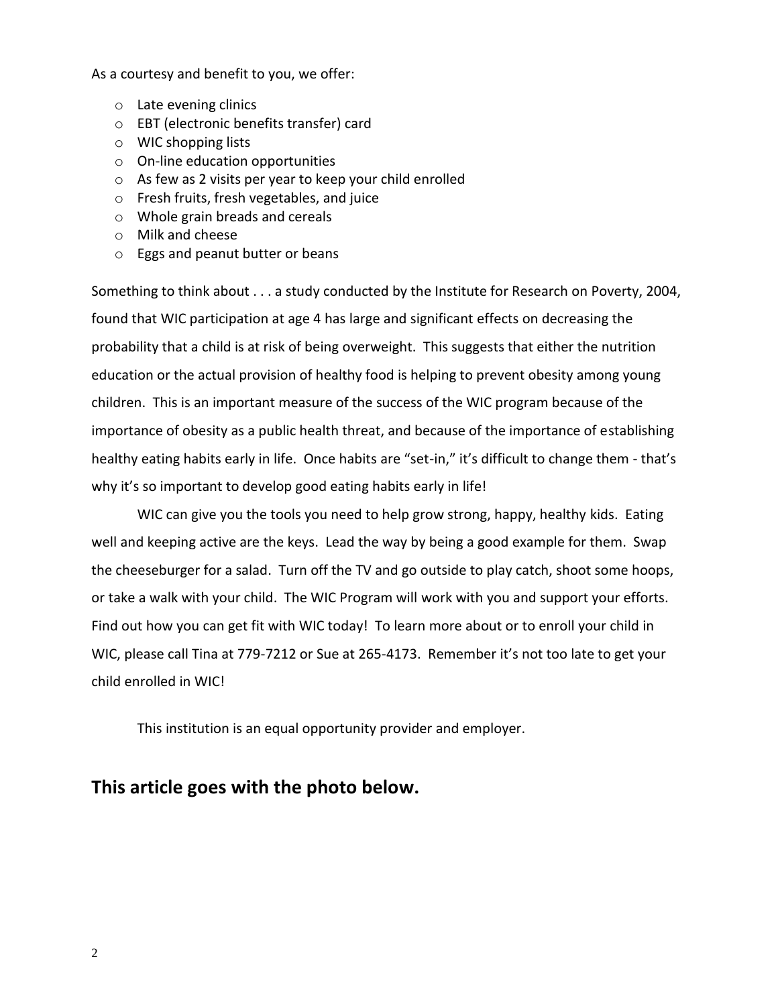As a courtesy and benefit to you, we offer:

- o Late evening clinics
- o EBT (electronic benefits transfer) card
- o WIC shopping lists
- o On-line education opportunities
- o As few as 2 visits per year to keep your child enrolled
- o Fresh fruits, fresh vegetables, and juice
- o Whole grain breads and cereals
- o Milk and cheese
- o Eggs and peanut butter or beans

Something to think about . . . a study conducted by the Institute for Research on Poverty, 2004, found that WIC participation at age 4 has large and significant effects on decreasing the probability that a child is at risk of being overweight. This suggests that either the nutrition education or the actual provision of healthy food is helping to prevent obesity among young children. This is an important measure of the success of the WIC program because of the importance of obesity as a public health threat, and because of the importance of establishing healthy eating habits early in life. Once habits are "set-in," it's difficult to change them - that's why it's so important to develop good eating habits early in life!

WIC can give you the tools you need to help grow strong, happy, healthy kids. Eating well and keeping active are the keys. Lead the way by being a good example for them. Swap the cheeseburger for a salad. Turn off the TV and go outside to play catch, shoot some hoops, or take a walk with your child. The WIC Program will work with you and support your efforts. Find out how you can get fit with WIC today! To learn more about or to enroll your child in WIC, please call Tina at 779-7212 or Sue at 265-4173. Remember it's not too late to get your child enrolled in WIC!

This institution is an equal opportunity provider and employer.

## **This article goes with the photo below.**